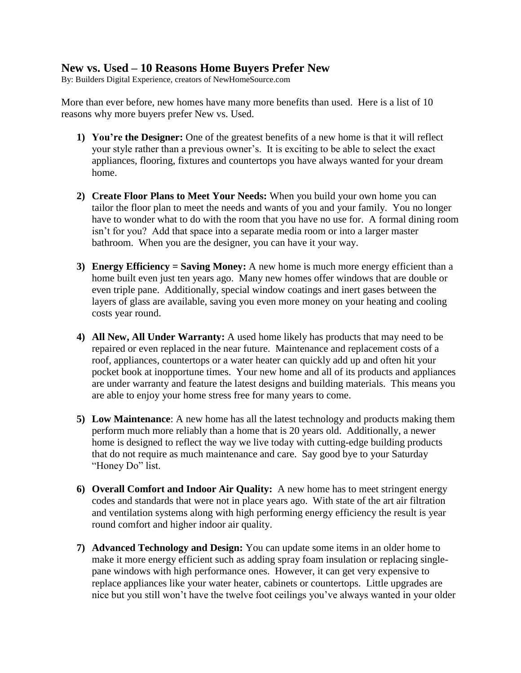## **New vs. Used – 10 Reasons Home Buyers Prefer New**

By: Builders Digital Experience, creators of NewHomeSource.com

More than ever before, new homes have many more benefits than used. Here is a list of 10 reasons why more buyers prefer New vs. Used.

- **1) You're the Designer:** One of the greatest benefits of a new home is that it will reflect your style rather than a previous owner's. It is exciting to be able to select the exact appliances, flooring, fixtures and countertops you have always wanted for your dream home.
- **2) Create Floor Plans to Meet Your Needs:** When you build your own home you can tailor the floor plan to meet the needs and wants of you and your family. You no longer have to wonder what to do with the room that you have no use for.A formal dining room isn't for you? Add that space into a separate media room or into a larger master bathroom. When you are the designer, you can have it your way.
- **3) Energy Efficiency = Saving Money:** A new home is much more energy efficient than a home built even just ten years ago. Many new homes offer windows that are double or even triple pane. Additionally, special window coatings and inert gases between the layers of glass are available, saving you even more money on your heating and cooling costs year round.
- **4) All New, All Under Warranty:** A used home likely has products that may need to be repaired or even replaced in the near future. Maintenance and replacement costs of a roof, appliances, countertops or a water heater can quickly add up and often hit your pocket book at inopportune times. Your new home and all of its products and appliances are under warranty and feature the latest designs and building materials. This means you are able to enjoy your home stress free for many years to come.
- **5) Low Maintenance**: A new home has all the latest technology and products making them perform much more reliably than a home that is 20 years old. Additionally, a newer home is designed to reflect the way we live today with cutting-edge building products that do not require as much maintenance and care. Say good bye to your Saturday "Honey Do" list.
- **6) Overall Comfort and Indoor Air Quality:** A new home has to meet stringent energy codes and standards that were not in place years ago. With state of the art air filtration and ventilation systems along with high performing energy efficiency the result is year round comfort and higher indoor air quality.
- **7) Advanced Technology and Design:** You can update some items in an older home to make it more energy efficient such as adding spray foam insulation or replacing singlepane windows with high performance ones. However, it can get very expensive to replace appliances like your water heater, cabinets or countertops. Little upgrades are nice but you still won't have the twelve foot ceilings you've always wanted in your older